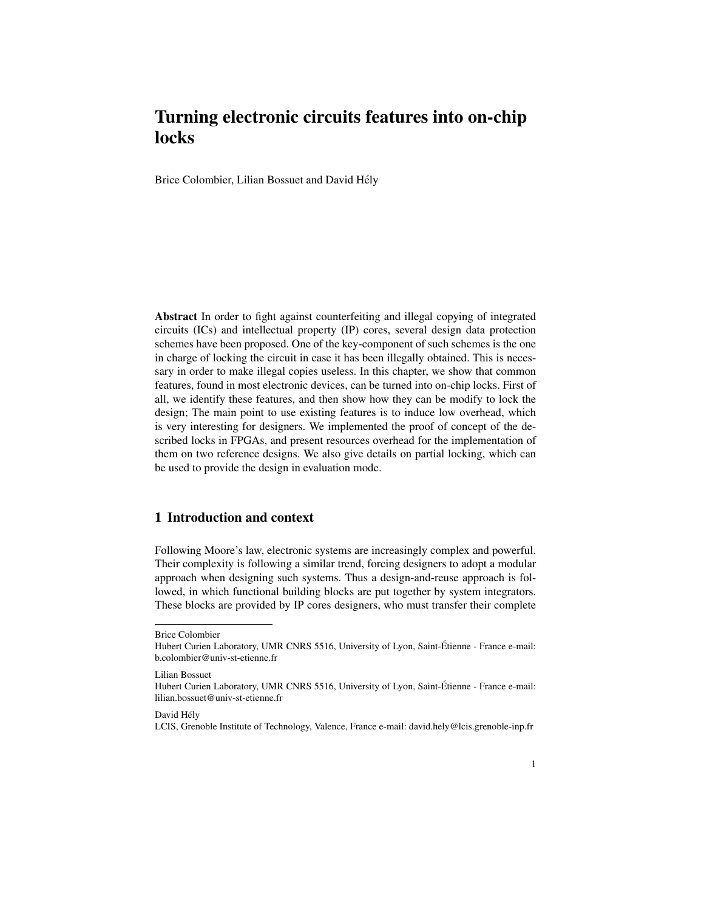# Turning electronic circuits features into on-chip **locks**

Brice Colombier, Lilian Bossuet and David Hely ´

Abstract In order to fight against counterfeiting and illegal copying of integrated circuits (ICs) and intellectual property (IP) cores, several design data protection schemes have been proposed. One of the key-component of such schemes is the one in charge of locking the circuit in case it has been illegally obtained. This is necessary in order to make illegal copies useless. In this chapter, we show that common features, found in most electronic devices, can be turned into on-chip locks. First of all, we identify these features, and then show how they can be modify to lock the design; The main point to use existing features is to induce low overhead, which is very interesting for designers. We implemented the proof of concept of the described locks in FPGAs, and present resources overhead for the implementation of them on two reference designs. We also give details on partial locking, which can be used to provide the design in evaluation mode.

## 1 Introduction and context

Following Moore's law, electronic systems are increasingly complex and powerful. Their complexity is following a similar trend, forcing designers to adopt a modular approach when designing such systems. Thus a design-and-reuse approach is followed, in which functional building blocks are put together by system integrators. These blocks are provided by IP cores designers, who must transfer their complete

Lilian Bossuet

David Hély

LCIS, Grenoble Institute of Technology, Valence, France e-mail: david.hely@lcis.grenoble-inp.fr

Brice Colombier

Hubert Curien Laboratory, UMR CNRS 5516, University of Lyon, Saint-Etienne - France e-mail: ´ b.colombier@univ-st-etienne.fr

Hubert Curien Laboratory, UMR CNRS 5516, University of Lyon, Saint-Etienne - France e-mail: ´ lilian.bossuet@univ-st-etienne.fr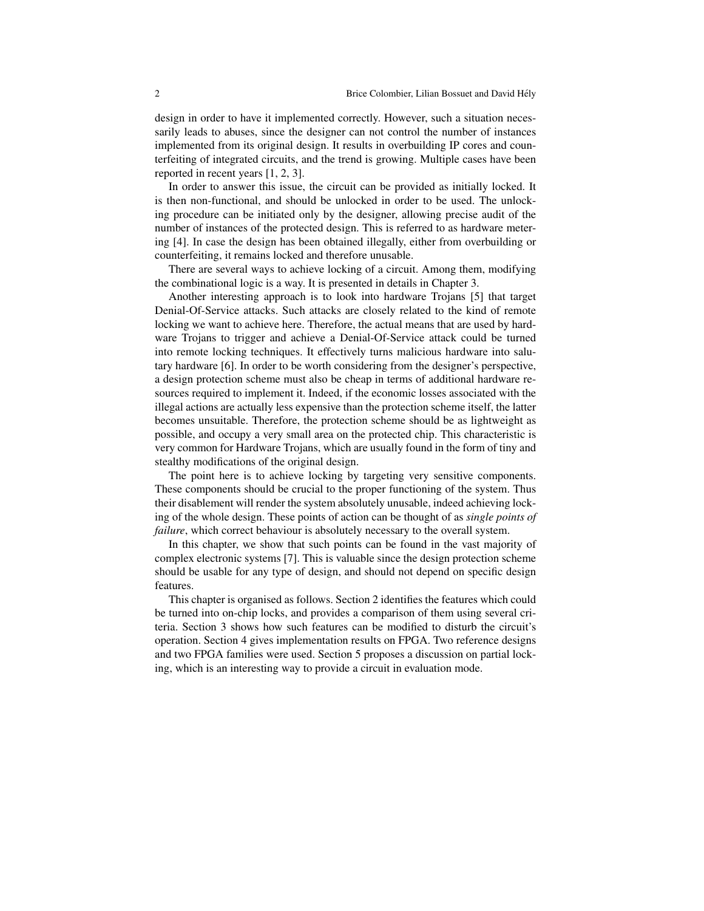design in order to have it implemented correctly. However, such a situation necessarily leads to abuses, since the designer can not control the number of instances implemented from its original design. It results in overbuilding IP cores and counterfeiting of integrated circuits, and the trend is growing. Multiple cases have been reported in recent years [1, 2, 3].

In order to answer this issue, the circuit can be provided as initially locked. It is then non-functional, and should be unlocked in order to be used. The unlocking procedure can be initiated only by the designer, allowing precise audit of the number of instances of the protected design. This is referred to as hardware metering [4]. In case the design has been obtained illegally, either from overbuilding or counterfeiting, it remains locked and therefore unusable.

There are several ways to achieve locking of a circuit. Among them, modifying the combinational logic is a way. It is presented in details in Chapter 3.

Another interesting approach is to look into hardware Trojans [5] that target Denial-Of-Service attacks. Such attacks are closely related to the kind of remote locking we want to achieve here. Therefore, the actual means that are used by hardware Trojans to trigger and achieve a Denial-Of-Service attack could be turned into remote locking techniques. It effectively turns malicious hardware into salutary hardware [6]. In order to be worth considering from the designer's perspective, a design protection scheme must also be cheap in terms of additional hardware resources required to implement it. Indeed, if the economic losses associated with the illegal actions are actually less expensive than the protection scheme itself, the latter becomes unsuitable. Therefore, the protection scheme should be as lightweight as possible, and occupy a very small area on the protected chip. This characteristic is very common for Hardware Trojans, which are usually found in the form of tiny and stealthy modifications of the original design.

The point here is to achieve locking by targeting very sensitive components. These components should be crucial to the proper functioning of the system. Thus their disablement will render the system absolutely unusable, indeed achieving locking of the whole design. These points of action can be thought of as *single points of failure*, which correct behaviour is absolutely necessary to the overall system.

In this chapter, we show that such points can be found in the vast majority of complex electronic systems [7]. This is valuable since the design protection scheme should be usable for any type of design, and should not depend on specific design features.

This chapter is organised as follows. Section 2 identifies the features which could be turned into on-chip locks, and provides a comparison of them using several criteria. Section 3 shows how such features can be modified to disturb the circuit's operation. Section 4 gives implementation results on FPGA. Two reference designs and two FPGA families were used. Section 5 proposes a discussion on partial locking, which is an interesting way to provide a circuit in evaluation mode.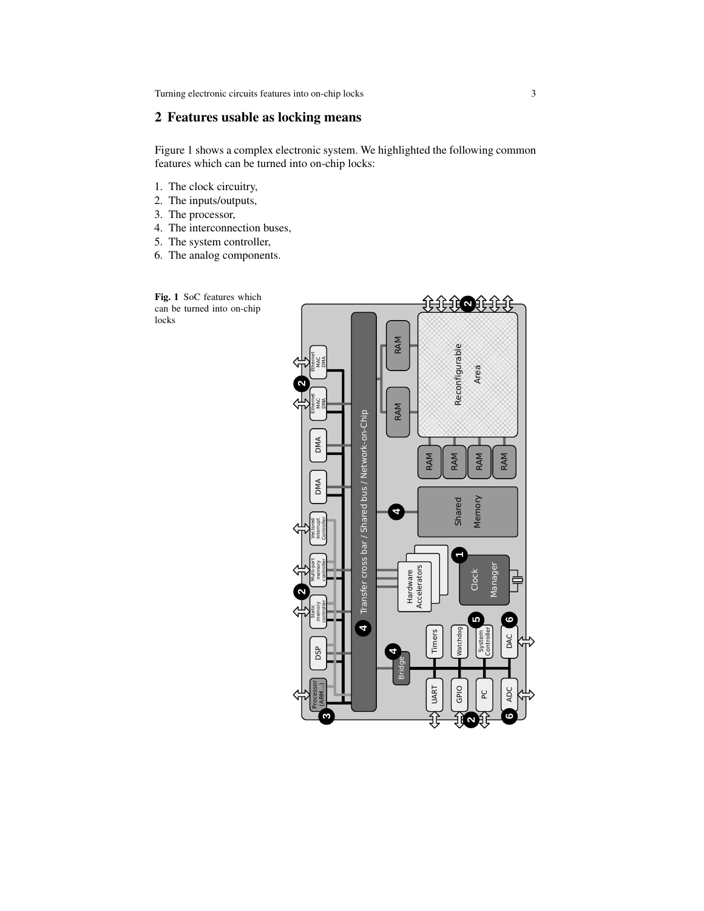Turning electronic circuits features into on-chip locks 3

## 2 Features usable as locking means

Figure 1 shows a complex electronic system. We highlighted the following common features which can be turned into on-chip locks:

- 1. The clock circuitry,
- 2. The inputs/outputs,
- 3. The processor,
- 4. The interconnection buses,
- 5. The system controller,
- 6. The analog components.

Fig. 1 SoC features which can be turned into on-chip locks

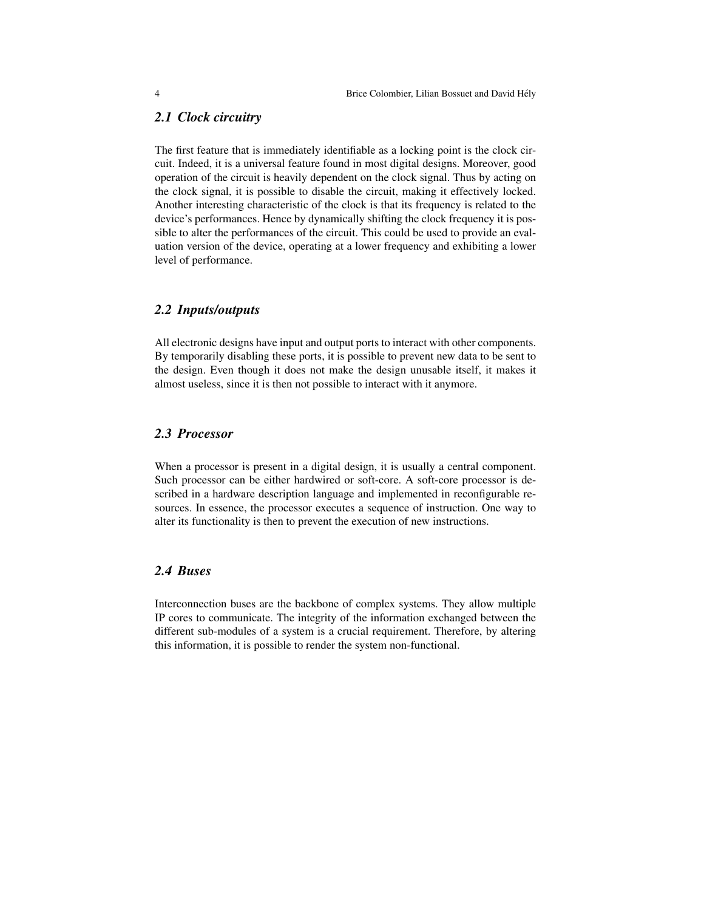## *2.1 Clock circuitry*

The first feature that is immediately identifiable as a locking point is the clock circuit. Indeed, it is a universal feature found in most digital designs. Moreover, good operation of the circuit is heavily dependent on the clock signal. Thus by acting on the clock signal, it is possible to disable the circuit, making it effectively locked. Another interesting characteristic of the clock is that its frequency is related to the device's performances. Hence by dynamically shifting the clock frequency it is possible to alter the performances of the circuit. This could be used to provide an evaluation version of the device, operating at a lower frequency and exhibiting a lower level of performance.

## *2.2 Inputs/outputs*

All electronic designs have input and output ports to interact with other components. By temporarily disabling these ports, it is possible to prevent new data to be sent to the design. Even though it does not make the design unusable itself, it makes it almost useless, since it is then not possible to interact with it anymore.

## *2.3 Processor*

When a processor is present in a digital design, it is usually a central component. Such processor can be either hardwired or soft-core. A soft-core processor is described in a hardware description language and implemented in reconfigurable resources. In essence, the processor executes a sequence of instruction. One way to alter its functionality is then to prevent the execution of new instructions.

## *2.4 Buses*

Interconnection buses are the backbone of complex systems. They allow multiple IP cores to communicate. The integrity of the information exchanged between the different sub-modules of a system is a crucial requirement. Therefore, by altering this information, it is possible to render the system non-functional.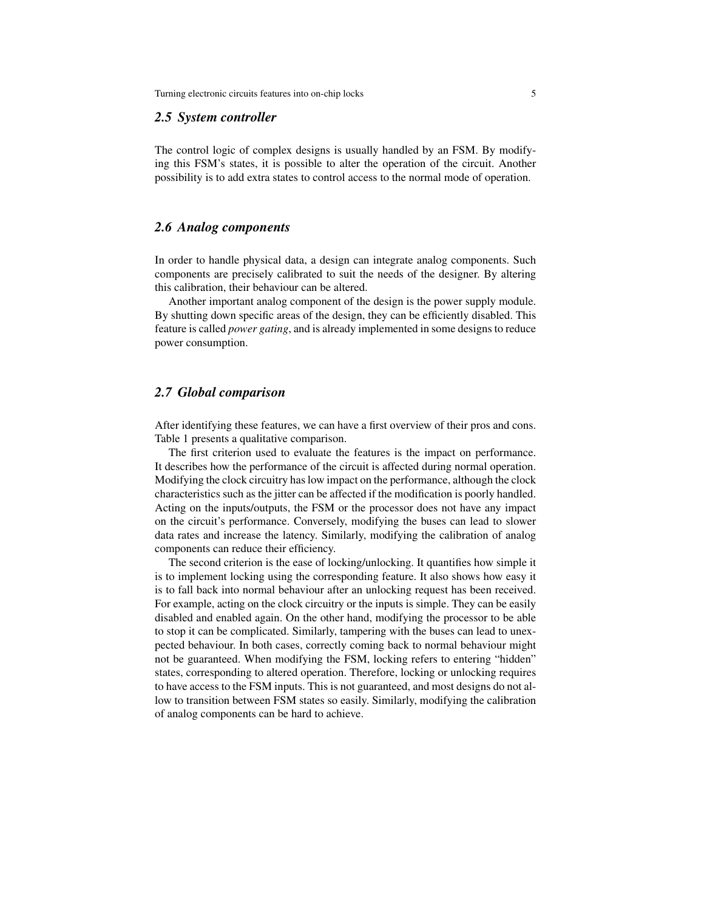#### *2.5 System controller*

The control logic of complex designs is usually handled by an FSM. By modifying this FSM's states, it is possible to alter the operation of the circuit. Another possibility is to add extra states to control access to the normal mode of operation.

## *2.6 Analog components*

In order to handle physical data, a design can integrate analog components. Such components are precisely calibrated to suit the needs of the designer. By altering this calibration, their behaviour can be altered.

Another important analog component of the design is the power supply module. By shutting down specific areas of the design, they can be efficiently disabled. This feature is called *power gating*, and is already implemented in some designs to reduce power consumption.

## *2.7 Global comparison*

After identifying these features, we can have a first overview of their pros and cons. Table 1 presents a qualitative comparison.

The first criterion used to evaluate the features is the impact on performance. It describes how the performance of the circuit is affected during normal operation. Modifying the clock circuitry has low impact on the performance, although the clock characteristics such as the jitter can be affected if the modification is poorly handled. Acting on the inputs/outputs, the FSM or the processor does not have any impact on the circuit's performance. Conversely, modifying the buses can lead to slower data rates and increase the latency. Similarly, modifying the calibration of analog components can reduce their efficiency.

The second criterion is the ease of locking/unlocking. It quantifies how simple it is to implement locking using the corresponding feature. It also shows how easy it is to fall back into normal behaviour after an unlocking request has been received. For example, acting on the clock circuitry or the inputs is simple. They can be easily disabled and enabled again. On the other hand, modifying the processor to be able to stop it can be complicated. Similarly, tampering with the buses can lead to unexpected behaviour. In both cases, correctly coming back to normal behaviour might not be guaranteed. When modifying the FSM, locking refers to entering "hidden" states, corresponding to altered operation. Therefore, locking or unlocking requires to have access to the FSM inputs. This is not guaranteed, and most designs do not allow to transition between FSM states so easily. Similarly, modifying the calibration of analog components can be hard to achieve.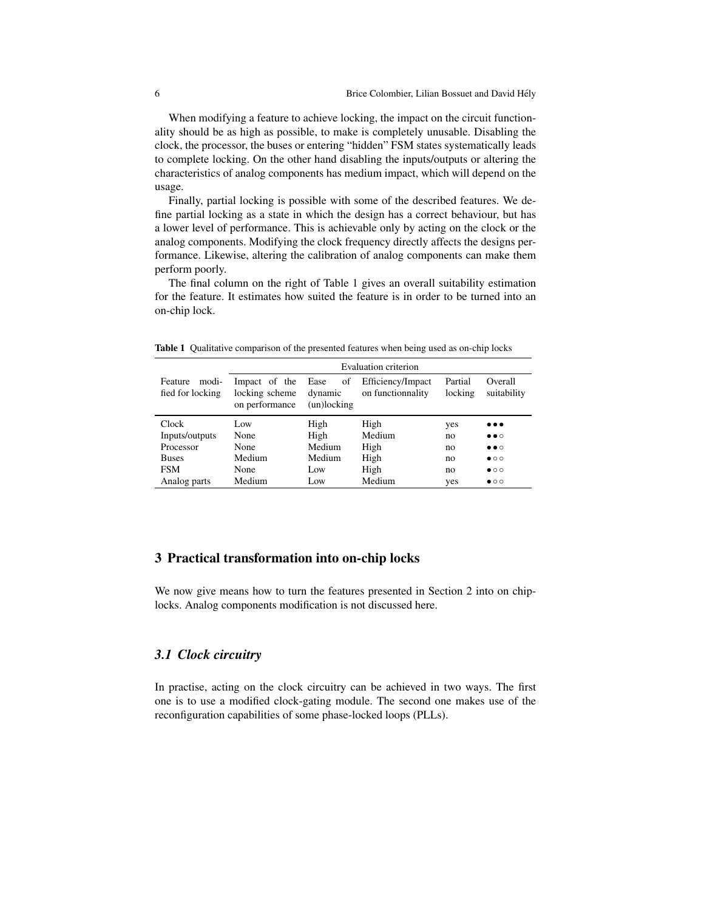When modifying a feature to achieve locking, the impact on the circuit functionality should be as high as possible, to make is completely unusable. Disabling the clock, the processor, the buses or entering "hidden" FSM states systematically leads to complete locking. On the other hand disabling the inputs/outputs or altering the characteristics of analog components has medium impact, which will depend on the usage.

Finally, partial locking is possible with some of the described features. We define partial locking as a state in which the design has a correct behaviour, but has a lower level of performance. This is achievable only by acting on the clock or the analog components. Modifying the clock frequency directly affects the designs performance. Likewise, altering the calibration of analog components can make them perform poorly.

The final column on the right of Table 1 gives an overall suitability estimation for the feature. It estimates how suited the feature is in order to be turned into an on-chip lock.

|                                      | Evaluation criterion                              |                                      |                                        |                    |                           |
|--------------------------------------|---------------------------------------------------|--------------------------------------|----------------------------------------|--------------------|---------------------------|
| modi-<br>Feature<br>fied for locking | Impact of the<br>locking scheme<br>on performance | of<br>Ease<br>dynamic<br>(un)locking | Efficiency/Impact<br>on functionnality | Partial<br>locking | Overall<br>suitability    |
| Clock                                | Low                                               | High                                 | High                                   | yes                | $\bullet\bullet\bullet$   |
| Inputs/outputs                       | None                                              | High                                 | Medium                                 | no                 | $\bullet\bullet\circ$     |
| Processor                            | None                                              | Medium                               | High                                   | no                 | $\bullet\bullet\circ$     |
| <b>Buses</b>                         | Medium                                            | Medium                               | High                                   | no                 | $\bullet$ $\circ$ $\circ$ |
| <b>FSM</b>                           | None                                              | L <sub>ow</sub>                      | High                                   | no                 | $\bullet$ $\circ$ $\circ$ |
| Analog parts                         | Medium                                            | Low                                  | Medium                                 | yes                | $\bullet$ $\circ$ $\circ$ |

Table 1 Qualitative comparison of the presented features when being used as on-chip locks

## 3 Practical transformation into on-chip locks

We now give means how to turn the features presented in Section 2 into on chiplocks. Analog components modification is not discussed here.

## *3.1 Clock circuitry*

In practise, acting on the clock circuitry can be achieved in two ways. The first one is to use a modified clock-gating module. The second one makes use of the reconfiguration capabilities of some phase-locked loops (PLLs).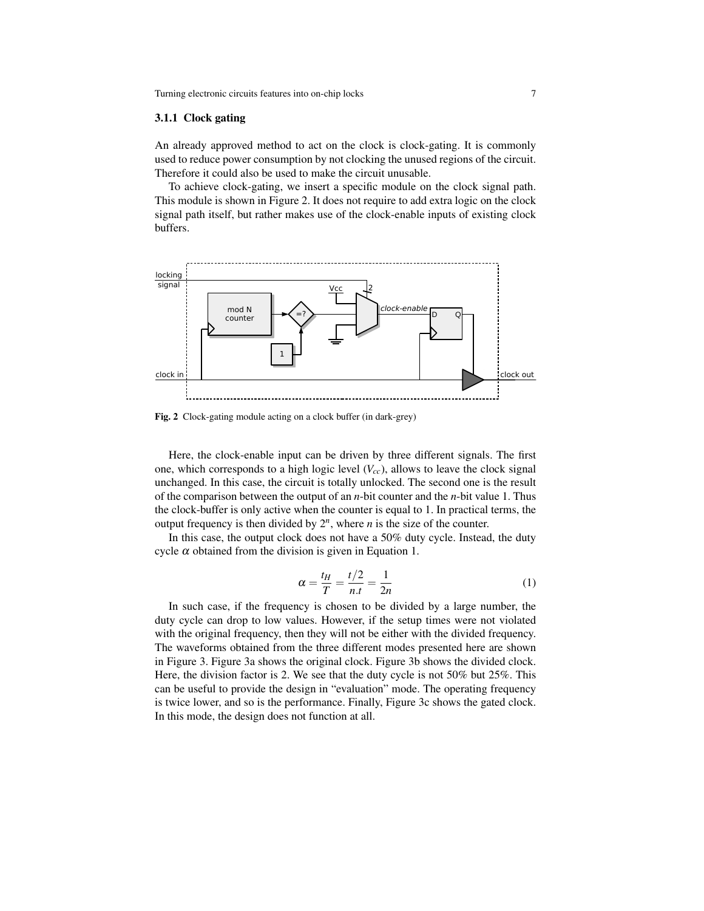#### 3.1.1 Clock gating

An already approved method to act on the clock is clock-gating. It is commonly used to reduce power consumption by not clocking the unused regions of the circuit. Therefore it could also be used to make the circuit unusable.

To achieve clock-gating, we insert a specific module on the clock signal path. This module is shown in Figure 2. It does not require to add extra logic on the clock signal path itself, but rather makes use of the clock-enable inputs of existing clock buffers.



Fig. 2 Clock-gating module acting on a clock buffer (in dark-grey)

Here, the clock-enable input can be driven by three different signals. The first one, which corresponds to a high logic level  $(V_{cc})$ , allows to leave the clock signal unchanged. In this case, the circuit is totally unlocked. The second one is the result of the comparison between the output of an *n*-bit counter and the *n*-bit value 1. Thus the clock-buffer is only active when the counter is equal to 1. In practical terms, the output frequency is then divided by  $2^n$ , where *n* is the size of the counter.

In this case, the output clock does not have a 50% duty cycle. Instead, the duty cycle  $\alpha$  obtained from the division is given in Equation 1.

$$
\alpha = \frac{t_H}{T} = \frac{t/2}{n.t} = \frac{1}{2n} \tag{1}
$$

In such case, if the frequency is chosen to be divided by a large number, the duty cycle can drop to low values. However, if the setup times were not violated with the original frequency, then they will not be either with the divided frequency. The waveforms obtained from the three different modes presented here are shown in Figure 3. Figure 3a shows the original clock. Figure 3b shows the divided clock. Here, the division factor is 2. We see that the duty cycle is not 50% but 25%. This can be useful to provide the design in "evaluation" mode. The operating frequency is twice lower, and so is the performance. Finally, Figure 3c shows the gated clock. In this mode, the design does not function at all.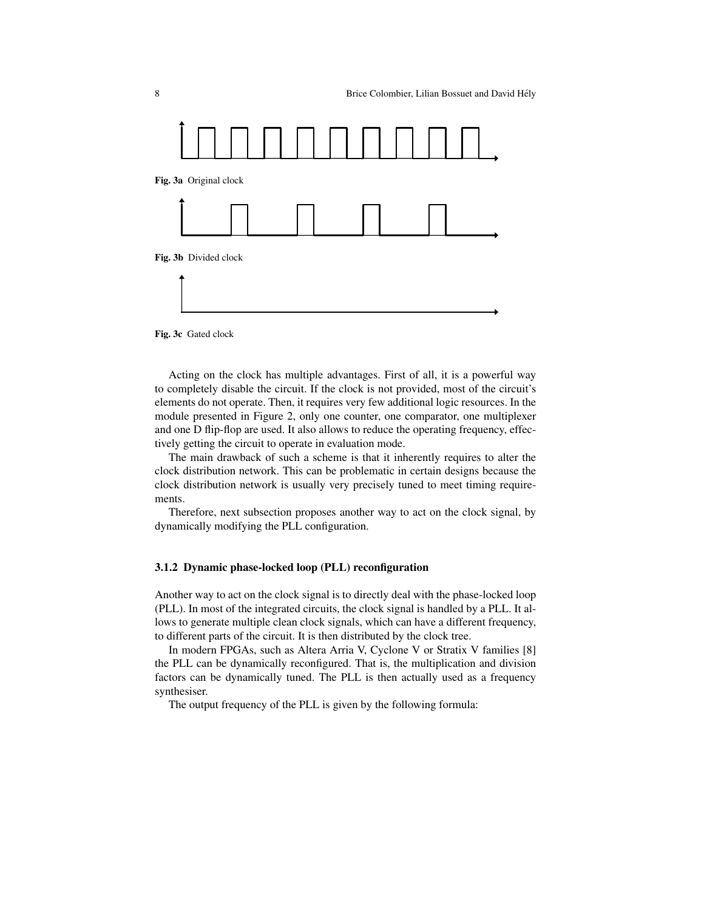![](_page_7_Figure_1.jpeg)

Fig. 3c Gated clock

Acting on the clock has multiple advantages. First of all, it is a powerful way to completely disable the circuit. If the clock is not provided, most of the circuit's elements do not operate. Then, it requires very few additional logic resources. In the module presented in Figure 2, only one counter, one comparator, one multiplexer and one D flip-flop are used. It also allows to reduce the operating frequency, effectively getting the circuit to operate in evaluation mode.

The main drawback of such a scheme is that it inherently requires to alter the clock distribution network. This can be problematic in certain designs because the clock distribution network is usually very precisely tuned to meet timing requirements.

Therefore, next subsection proposes another way to act on the clock signal, by dynamically modifying the PLL configuration.

#### 3.1.2 Dynamic phase-locked loop (PLL) reconfiguration

Another way to act on the clock signal is to directly deal with the phase-locked loop (PLL). In most of the integrated circuits, the clock signal is handled by a PLL. It allows to generate multiple clean clock signals, which can have a different frequency, to different parts of the circuit. It is then distributed by the clock tree.

In modern FPGAs, such as Altera Arria V, Cyclone V or Stratix V families [8] the PLL can be dynamically reconfigured. That is, the multiplication and division factors can be dynamically tuned. The PLL is then actually used as a frequency synthesiser.

The output frequency of the PLL is given by the following formula: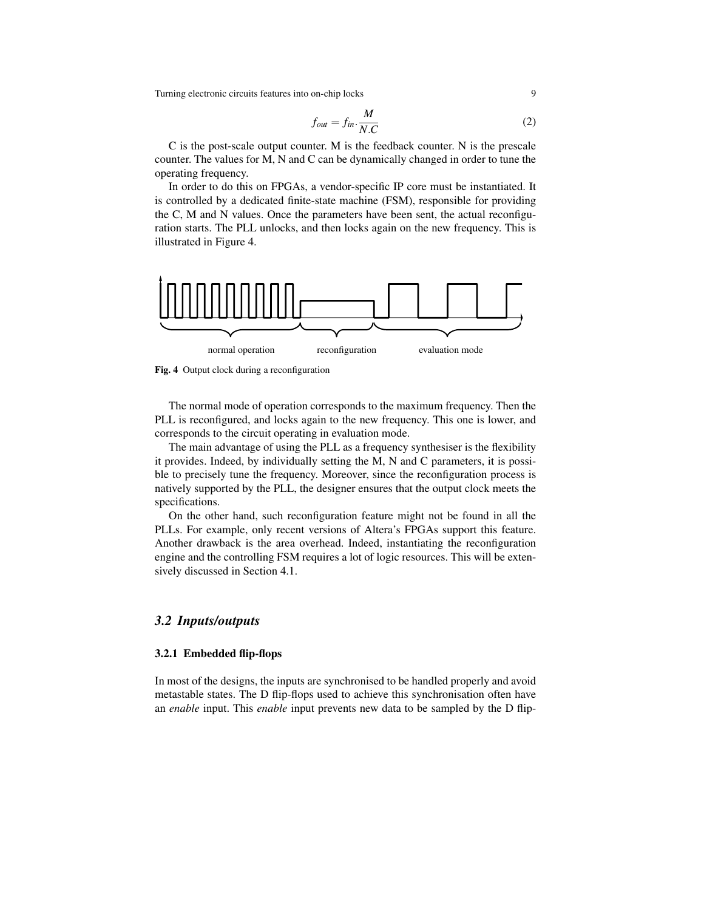Turning electronic circuits features into on-chip locks 9

$$
f_{out} = f_{in} \cdot \frac{M}{N.C}
$$
 (2)

C is the post-scale output counter. M is the feedback counter. N is the prescale counter. The values for M, N and C can be dynamically changed in order to tune the operating frequency.

In order to do this on FPGAs, a vendor-specific IP core must be instantiated. It is controlled by a dedicated finite-state machine (FSM), responsible for providing the C, M and N values. Once the parameters have been sent, the actual reconfiguration starts. The PLL unlocks, and then locks again on the new frequency. This is illustrated in Figure 4.

![](_page_8_Figure_4.jpeg)

Fig. 4 Output clock during a reconfiguration

The normal mode of operation corresponds to the maximum frequency. Then the PLL is reconfigured, and locks again to the new frequency. This one is lower, and corresponds to the circuit operating in evaluation mode.

The main advantage of using the PLL as a frequency synthesiser is the flexibility it provides. Indeed, by individually setting the M, N and C parameters, it is possible to precisely tune the frequency. Moreover, since the reconfiguration process is natively supported by the PLL, the designer ensures that the output clock meets the specifications.

On the other hand, such reconfiguration feature might not be found in all the PLLs. For example, only recent versions of Altera's FPGAs support this feature. Another drawback is the area overhead. Indeed, instantiating the reconfiguration engine and the controlling FSM requires a lot of logic resources. This will be extensively discussed in Section 4.1.

#### *3.2 Inputs/outputs*

#### 3.2.1 Embedded flip-flops

In most of the designs, the inputs are synchronised to be handled properly and avoid metastable states. The D flip-flops used to achieve this synchronisation often have an *enable* input. This *enable* input prevents new data to be sampled by the D flip-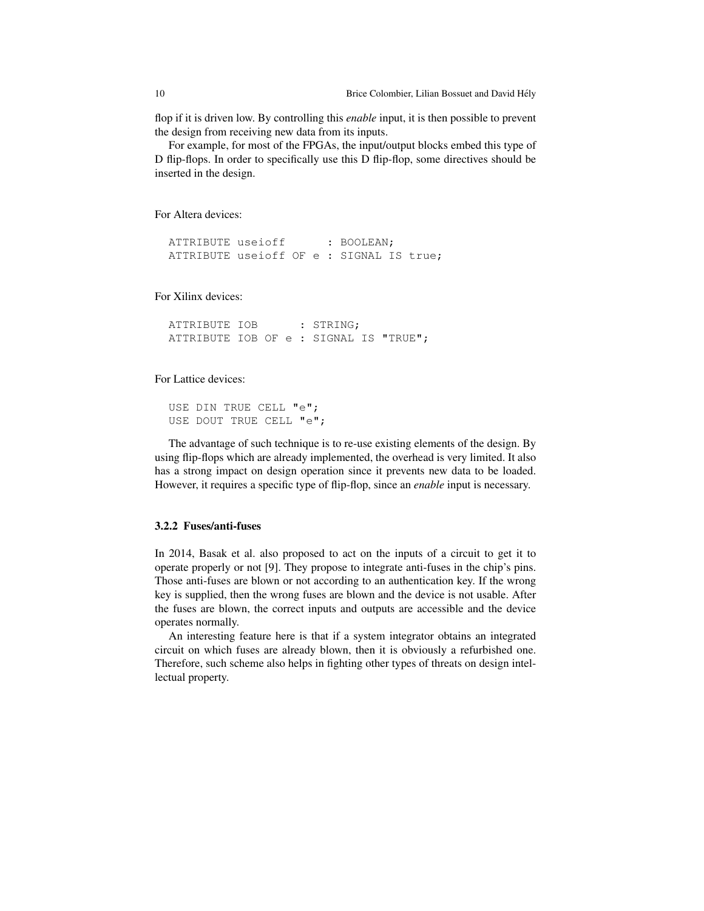flop if it is driven low. By controlling this *enable* input, it is then possible to prevent the design from receiving new data from its inputs.

For example, for most of the FPGAs, the input/output blocks embed this type of D flip-flops. In order to specifically use this D flip-flop, some directives should be inserted in the design.

For Altera devices:

ATTRIBUTE useioff : BOOLEAN; ATTRIBUTE useioff OF e : SIGNAL IS true;

For Xilinx devices:

ATTRIBUTE IOB : STRING; ATTRIBUTE IOB OF e : SIGNAL IS "TRUE";

#### For Lattice devices:

USE DIN TRUE CELL "e"; USE DOUT TRUE CELL "e";

The advantage of such technique is to re-use existing elements of the design. By using flip-flops which are already implemented, the overhead is very limited. It also has a strong impact on design operation since it prevents new data to be loaded. However, it requires a specific type of flip-flop, since an *enable* input is necessary.

#### 3.2.2 Fuses/anti-fuses

In 2014, Basak et al. also proposed to act on the inputs of a circuit to get it to operate properly or not [9]. They propose to integrate anti-fuses in the chip's pins. Those anti-fuses are blown or not according to an authentication key. If the wrong key is supplied, then the wrong fuses are blown and the device is not usable. After the fuses are blown, the correct inputs and outputs are accessible and the device operates normally.

An interesting feature here is that if a system integrator obtains an integrated circuit on which fuses are already blown, then it is obviously a refurbished one. Therefore, such scheme also helps in fighting other types of threats on design intellectual property.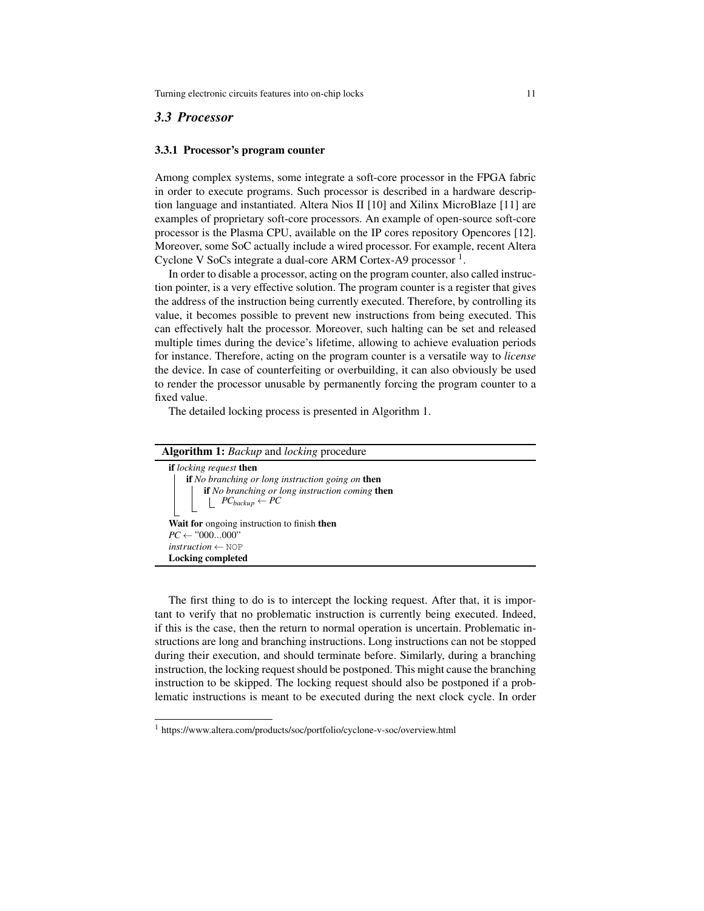#### *3.3 Processor*

#### 3.3.1 Processor's program counter

Among complex systems, some integrate a soft-core processor in the FPGA fabric in order to execute programs. Such processor is described in a hardware description language and instantiated. Altera Nios II [10] and Xilinx MicroBlaze [11] are examples of proprietary soft-core processors. An example of open-source soft-core processor is the Plasma CPU, available on the IP cores repository Opencores [12]. Moreover, some SoC actually include a wired processor. For example, recent Altera Cyclone V SoCs integrate a dual-core ARM Cortex-A9 processor <sup>1</sup>.

In order to disable a processor, acting on the program counter, also called instruction pointer, is a very effective solution. The program counter is a register that gives the address of the instruction being currently executed. Therefore, by controlling its value, it becomes possible to prevent new instructions from being executed. This can effectively halt the processor. Moreover, such halting can be set and released multiple times during the device's lifetime, allowing to achieve evaluation periods for instance. Therefore, acting on the program counter is a versatile way to *license* the device. In case of counterfeiting or overbuilding, it can also obviously be used to render the processor unusable by permanently forcing the program counter to a fixed value.

The detailed locking process is presented in Algorithm 1.

![](_page_10_Figure_6.jpeg)

The first thing to do is to intercept the locking request. After that, it is important to verify that no problematic instruction is currently being executed. Indeed, if this is the case, then the return to normal operation is uncertain. Problematic instructions are long and branching instructions. Long instructions can not be stopped during their execution, and should terminate before. Similarly, during a branching instruction, the locking request should be postponed. This might cause the branching instruction to be skipped. The locking request should also be postponed if a problematic instructions is meant to be executed during the next clock cycle. In order

<sup>1</sup> https://www.altera.com/products/soc/portfolio/cyclone-v-soc/overview.html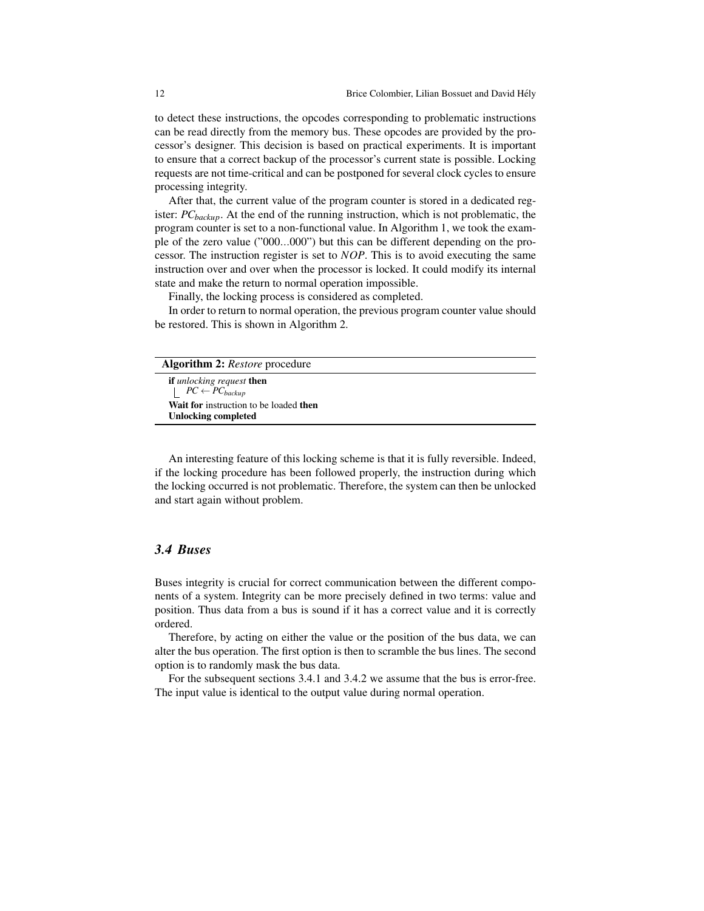to detect these instructions, the opcodes corresponding to problematic instructions can be read directly from the memory bus. These opcodes are provided by the processor's designer. This decision is based on practical experiments. It is important to ensure that a correct backup of the processor's current state is possible. Locking requests are not time-critical and can be postponed for several clock cycles to ensure processing integrity.

After that, the current value of the program counter is stored in a dedicated register: *PCbackup*. At the end of the running instruction, which is not problematic, the program counter is set to a non-functional value. In Algorithm 1, we took the example of the zero value ("000...000") but this can be different depending on the processor. The instruction register is set to *NOP*. This is to avoid executing the same instruction over and over when the processor is locked. It could modify its internal state and make the return to normal operation impossible.

Finally, the locking process is considered as completed.

In order to return to normal operation, the previous program counter value should be restored. This is shown in Algorithm 2.

| <b>Algorithm 2:</b> <i>Restore</i> procedure                                |
|-----------------------------------------------------------------------------|
| <b>if</b> unlocking request <b>then</b><br>$PC \leftarrow PC_{backup}$      |
| <b>Wait for instruction to be loaded then</b><br><b>Unlocking completed</b> |

An interesting feature of this locking scheme is that it is fully reversible. Indeed, if the locking procedure has been followed properly, the instruction during which the locking occurred is not problematic. Therefore, the system can then be unlocked and start again without problem.

## *3.4 Buses*

Buses integrity is crucial for correct communication between the different components of a system. Integrity can be more precisely defined in two terms: value and position. Thus data from a bus is sound if it has a correct value and it is correctly ordered.

Therefore, by acting on either the value or the position of the bus data, we can alter the bus operation. The first option is then to scramble the bus lines. The second option is to randomly mask the bus data.

For the subsequent sections 3.4.1 and 3.4.2 we assume that the bus is error-free. The input value is identical to the output value during normal operation.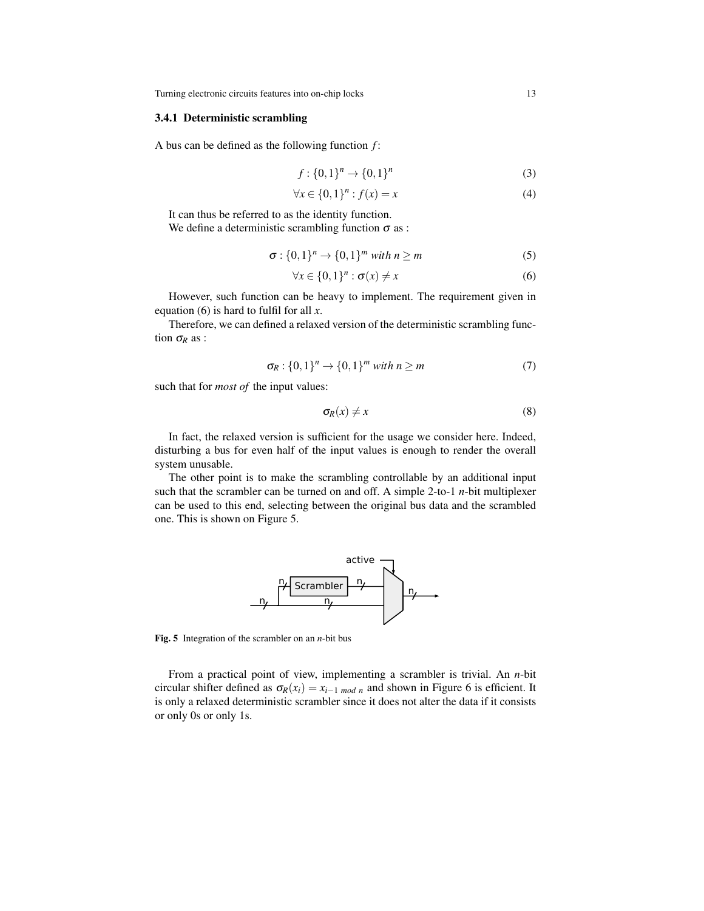Turning electronic circuits features into on-chip locks 13

#### 3.4.1 Deterministic scrambling

A bus can be defined as the following function *f* :

$$
f: \{0,1\}^n \to \{0,1\}^n \tag{3}
$$

$$
\forall x \in \{0,1\}^n : f(x) = x \tag{4}
$$

It can thus be referred to as the identity function. We define a deterministic scrambling function  $\sigma$  as :

$$
\sigma: \{0,1\}^n \to \{0,1\}^m \text{ with } n \ge m \tag{5}
$$

$$
\forall x \in \{0,1\}^n : \sigma(x) \neq x \tag{6}
$$

However, such function can be heavy to implement. The requirement given in equation (6) is hard to fulfil for all *x*.

Therefore, we can defined a relaxed version of the deterministic scrambling function  $\sigma_R$  as :

$$
\sigma_R: \{0,1\}^n \to \{0,1\}^m \text{ with } n \ge m \tag{7}
$$

such that for *most of* the input values:

$$
\sigma_R(x) \neq x \tag{8}
$$

In fact, the relaxed version is sufficient for the usage we consider here. Indeed, disturbing a bus for even half of the input values is enough to render the overall system unusable.

The other point is to make the scrambling controllable by an additional input such that the scrambler can be turned on and off. A simple 2-to-1 *n*-bit multiplexer can be used to this end, selecting between the original bus data and the scrambled one. This is shown on Figure 5.

![](_page_12_Figure_15.jpeg)

Fig. 5 Integration of the scrambler on an *n*-bit bus

From a practical point of view, implementing a scrambler is trivial. An *n*-bit circular shifter defined as  $\sigma_R(x_i) = x_{i-1 \mod n}$  and shown in Figure 6 is efficient. It is only a relaxed deterministic scrambler since it does not alter the data if it consists or only 0s or only 1s.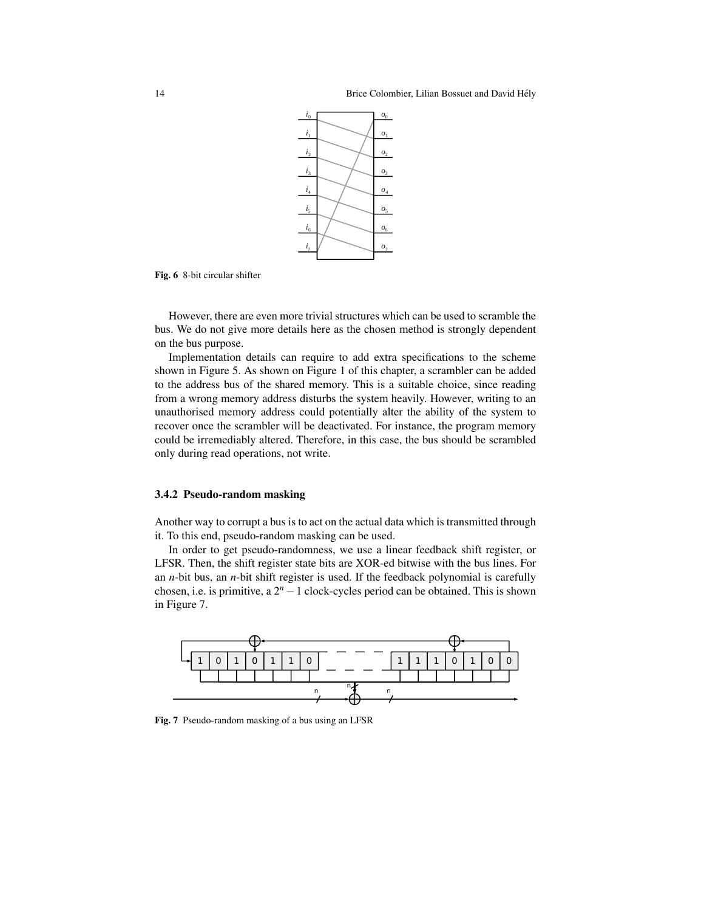![](_page_13_Figure_1.jpeg)

Fig. 6 8-bit circular shifter

However, there are even more trivial structures which can be used to scramble the bus. We do not give more details here as the chosen method is strongly dependent on the bus purpose.

Implementation details can require to add extra specifications to the scheme shown in Figure 5. As shown on Figure 1 of this chapter, a scrambler can be added to the address bus of the shared memory. This is a suitable choice, since reading from a wrong memory address disturbs the system heavily. However, writing to an unauthorised memory address could potentially alter the ability of the system to recover once the scrambler will be deactivated. For instance, the program memory could be irremediably altered. Therefore, in this case, the bus should be scrambled only during read operations, not write.

#### 3.4.2 Pseudo-random masking

Another way to corrupt a bus is to act on the actual data which is transmitted through it. To this end, pseudo-random masking can be used.

In order to get pseudo-randomness, we use a linear feedback shift register, or LFSR. Then, the shift register state bits are XOR-ed bitwise with the bus lines. For an *n*-bit bus, an *n*-bit shift register is used. If the feedback polynomial is carefully chosen, i.e. is primitive, a  $2^n - 1$  clock-cycles period can be obtained. This is shown in Figure 7.

![](_page_13_Figure_8.jpeg)

Fig. 7 Pseudo-random masking of a bus using an LFSR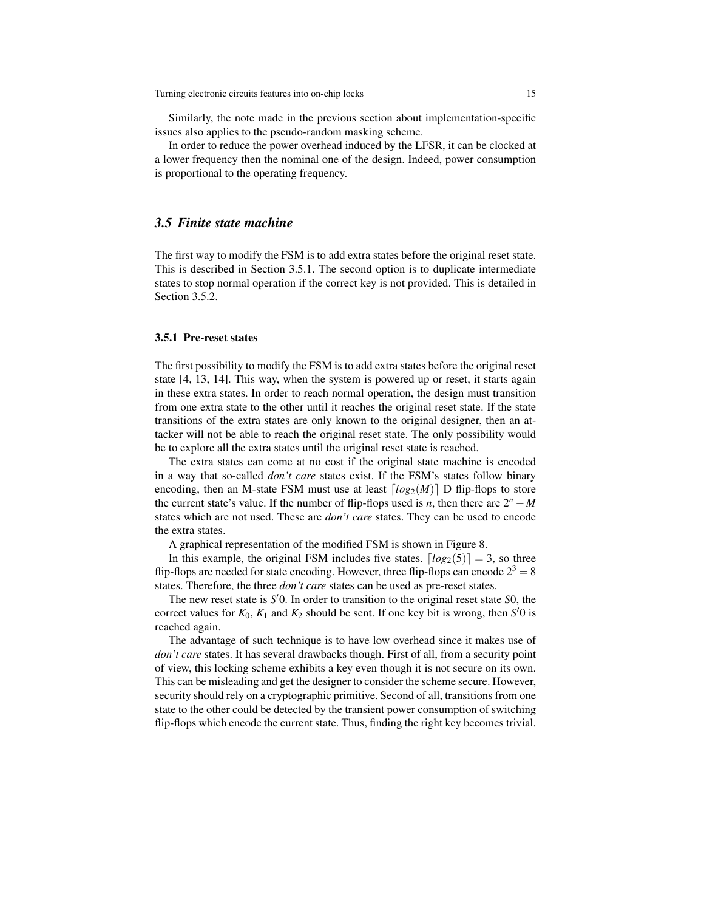Similarly, the note made in the previous section about implementation-specific issues also applies to the pseudo-random masking scheme.

In order to reduce the power overhead induced by the LFSR, it can be clocked at a lower frequency then the nominal one of the design. Indeed, power consumption is proportional to the operating frequency.

## *3.5 Finite state machine*

The first way to modify the FSM is to add extra states before the original reset state. This is described in Section 3.5.1. The second option is to duplicate intermediate states to stop normal operation if the correct key is not provided. This is detailed in Section 3.5.2.

#### 3.5.1 Pre-reset states

The first possibility to modify the FSM is to add extra states before the original reset state [4, 13, 14]. This way, when the system is powered up or reset, it starts again in these extra states. In order to reach normal operation, the design must transition from one extra state to the other until it reaches the original reset state. If the state transitions of the extra states are only known to the original designer, then an attacker will not be able to reach the original reset state. The only possibility would be to explore all the extra states until the original reset state is reached.

The extra states can come at no cost if the original state machine is encoded in a way that so-called *don't care* states exist. If the FSM's states follow binary encoding, then an M-state FSM must use at least  $\lceil log_2(M) \rceil$  D flip-flops to store the current state's value. If the number of flip-flops used is *n*, then there are  $2^n - M$ states which are not used. These are *don't care* states. They can be used to encode the extra states.

A graphical representation of the modified FSM is shown in Figure 8.

In this example, the original FSM includes five states.  $[log_2(5)] = 3$ , so three flip-flops are needed for state encoding. However, three flip-flops can encode  $2^3 = 8$ states. Therefore, the three *don't care* states can be used as pre-reset states.

The new reset state is  $S'0$ . In order to transition to the original reset state *S*0, the correct values for  $K_0$ ,  $K_1$  and  $K_2$  should be sent. If one key bit is wrong, then  $S'0$  is reached again.

The advantage of such technique is to have low overhead since it makes use of *don't care* states. It has several drawbacks though. First of all, from a security point of view, this locking scheme exhibits a key even though it is not secure on its own. This can be misleading and get the designer to consider the scheme secure. However, security should rely on a cryptographic primitive. Second of all, transitions from one state to the other could be detected by the transient power consumption of switching flip-flops which encode the current state. Thus, finding the right key becomes trivial.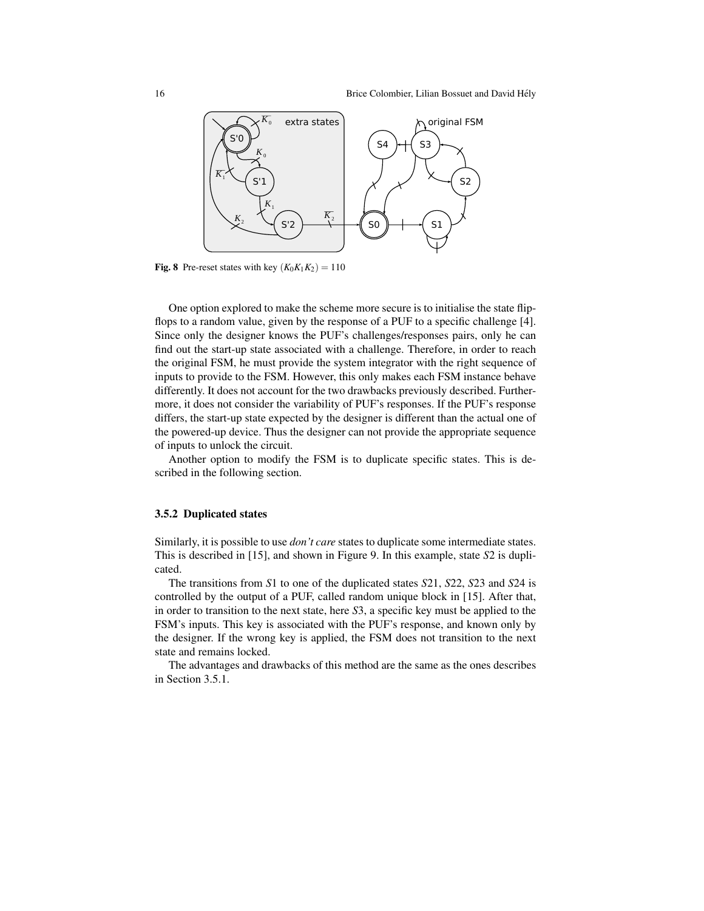![](_page_15_Figure_1.jpeg)

Fig. 8 Pre-reset states with key  $(K_0K_1K_2) = 110$ 

One option explored to make the scheme more secure is to initialise the state flipflops to a random value, given by the response of a PUF to a specific challenge [4]. Since only the designer knows the PUF's challenges/responses pairs, only he can find out the start-up state associated with a challenge. Therefore, in order to reach the original FSM, he must provide the system integrator with the right sequence of inputs to provide to the FSM. However, this only makes each FSM instance behave differently. It does not account for the two drawbacks previously described. Furthermore, it does not consider the variability of PUF's responses. If the PUF's response differs, the start-up state expected by the designer is different than the actual one of the powered-up device. Thus the designer can not provide the appropriate sequence of inputs to unlock the circuit.

Another option to modify the FSM is to duplicate specific states. This is described in the following section.

#### 3.5.2 Duplicated states

Similarly, it is possible to use *don't care* states to duplicate some intermediate states. This is described in [15], and shown in Figure 9. In this example, state *S*2 is duplicated.

The transitions from *S*1 to one of the duplicated states *S*21, *S*22, *S*23 and *S*24 is controlled by the output of a PUF, called random unique block in [15]. After that, in order to transition to the next state, here *S*3, a specific key must be applied to the FSM's inputs. This key is associated with the PUF's response, and known only by the designer. If the wrong key is applied, the FSM does not transition to the next state and remains locked.

The advantages and drawbacks of this method are the same as the ones describes in Section 3.5.1.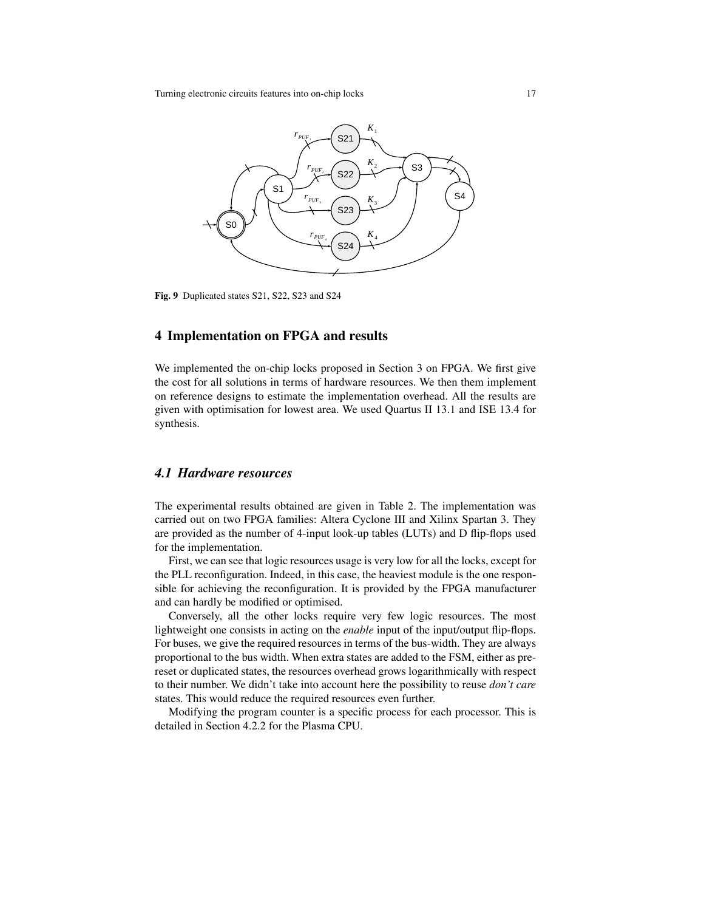![](_page_16_Figure_1.jpeg)

Fig. 9 Duplicated states S21, S22, S23 and S24

## 4 Implementation on FPGA and results

We implemented the on-chip locks proposed in Section 3 on FPGA. We first give the cost for all solutions in terms of hardware resources. We then them implement on reference designs to estimate the implementation overhead. All the results are given with optimisation for lowest area. We used Quartus II 13.1 and ISE 13.4 for synthesis.

### *4.1 Hardware resources*

The experimental results obtained are given in Table 2. The implementation was carried out on two FPGA families: Altera Cyclone III and Xilinx Spartan 3. They are provided as the number of 4-input look-up tables (LUTs) and D flip-flops used for the implementation.

First, we can see that logic resources usage is very low for all the locks, except for the PLL reconfiguration. Indeed, in this case, the heaviest module is the one responsible for achieving the reconfiguration. It is provided by the FPGA manufacturer and can hardly be modified or optimised.

Conversely, all the other locks require very few logic resources. The most lightweight one consists in acting on the *enable* input of the input/output flip-flops. For buses, we give the required resources in terms of the bus-width. They are always proportional to the bus width. When extra states are added to the FSM, either as prereset or duplicated states, the resources overhead grows logarithmically with respect to their number. We didn't take into account here the possibility to reuse *don't care* states. This would reduce the required resources even further.

Modifying the program counter is a specific process for each processor. This is detailed in Section 4.2.2 for the Plasma CPU.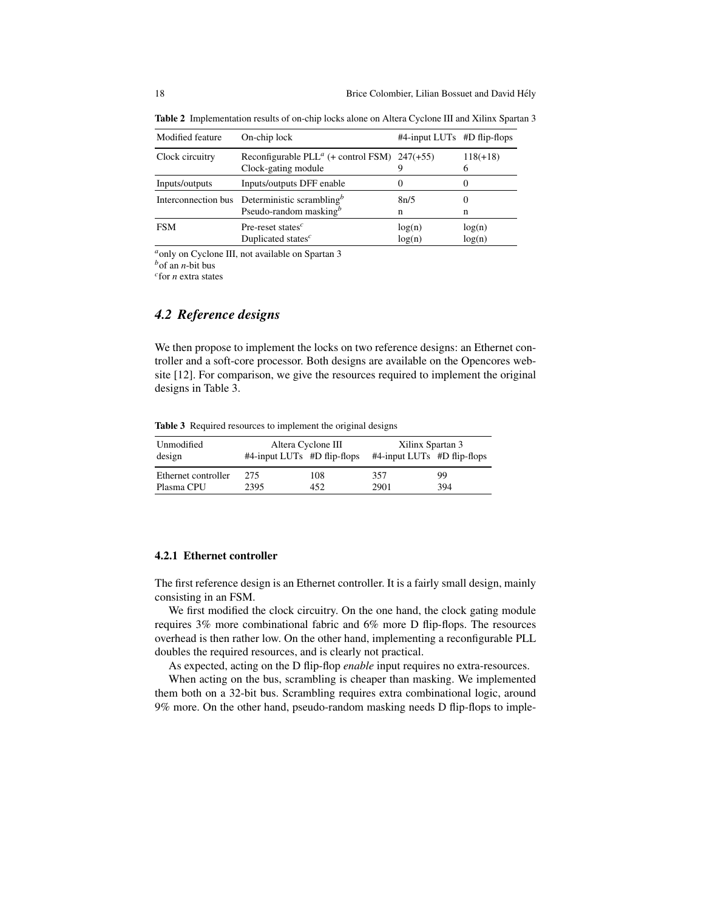| Modified feature | On-chip lock                                                                            | #4-input LUTs #D flip-flops |                  |
|------------------|-----------------------------------------------------------------------------------------|-----------------------------|------------------|
| Clock circuitry  | Reconfigurable PLL <sup>a</sup> (+ control FSM) $247(+55)$<br>Clock-gating module       |                             | $118(+18)$<br>რ  |
| Inputs/outputs   | Inputs/outputs DFF enable                                                               |                             |                  |
|                  | Interconnection bus Deterministic scrambling <sup>b</sup><br>Pseudo-random masking $^b$ | 8n/5<br>n                   | n                |
| <b>FSM</b>       | Pre-reset states <sup><math>c</math></sup><br>Duplicated states $c$                     | log(n)<br>log(n)            | log(n)<br>log(n) |

Table 2 Implementation results of on-chip locks alone on Altera Cyclone III and Xilinx Spartan 3

*<sup>a</sup>*only on Cyclone III, not available on Spartan 3

*<sup>b</sup>*of an *n*-bit bus

*c* for *n* extra states

## *4.2 Reference designs*

We then propose to implement the locks on two reference designs: an Ethernet controller and a soft-core processor. Both designs are available on the Opencores website [12]. For comparison, we give the resources required to implement the original designs in Table 3.

Table 3 Required resources to implement the original designs

| Unmodified<br>design | $#4$ -input LUTs $#D$ flip-flops | Altera Cyclone III | Xilinx Spartan 3<br>$#4$ -input LUTs $#D$ flip-flops |     |
|----------------------|----------------------------------|--------------------|------------------------------------------------------|-----|
| Ethernet controller  | 275                              | 108                | 357                                                  | 99  |
| Plasma CPU           | 2395                             | 452                | 2901                                                 | 394 |

#### 4.2.1 Ethernet controller

The first reference design is an Ethernet controller. It is a fairly small design, mainly consisting in an FSM.

We first modified the clock circuitry. On the one hand, the clock gating module requires 3% more combinational fabric and 6% more D flip-flops. The resources overhead is then rather low. On the other hand, implementing a reconfigurable PLL doubles the required resources, and is clearly not practical.

As expected, acting on the D flip-flop *enable* input requires no extra-resources.

When acting on the bus, scrambling is cheaper than masking. We implemented them both on a 32-bit bus. Scrambling requires extra combinational logic, around 9% more. On the other hand, pseudo-random masking needs D flip-flops to imple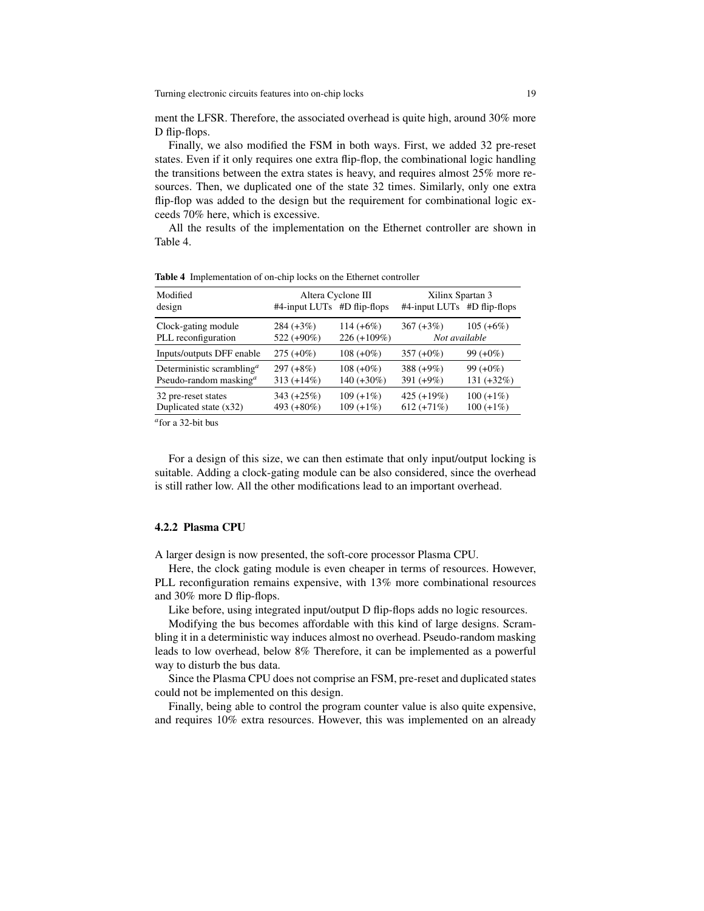ment the LFSR. Therefore, the associated overhead is quite high, around 30% more D flip-flops.

Finally, we also modified the FSM in both ways. First, we added 32 pre-reset states. Even if it only requires one extra flip-flop, the combinational logic handling the transitions between the extra states is heavy, and requires almost 25% more resources. Then, we duplicated one of the state 32 times. Similarly, only one extra flip-flop was added to the design but the requirement for combinational logic exceeds 70% here, which is excessive.

All the results of the implementation on the Ethernet controller are shown in Table 4.

| Modified<br>design                           | $#4$ -input LUTs $#D$ flip-flops | Altera Cyclone III | Xilinx Spartan 3<br>$#4$ -input LUTs $#D$ flip-flops |              |
|----------------------------------------------|----------------------------------|--------------------|------------------------------------------------------|--------------|
| Clock-gating module                          | $284 (+3%)$                      | $114 (+6%)$        | $367 (+3%)$                                          | $105 (+6\%)$ |
| PLL reconfiguration                          | $522 (+90\%)$                    | $226 (+109%)$      | Not available                                        |              |
| Inputs/outputs DFF enable                    | $275 (+0\%)$                     | $108 (+0\%)$       | $357 (+0\%)$                                         | $99 (+0\%)$  |
| Deterministic scrambling <sup><i>a</i></sup> | $297 (+8\%)$                     | $108 (+0\%)$       | 388 $(+9%)$                                          | $99 (+0\%)$  |
| Pseudo-random masking <sup>a</sup>           | 313 $(+14%)$                     | $140 (+30\%)$      | 391 $(+9%)$                                          | $131 (+32%)$ |
| 32 pre-reset states                          | $343 (+25%)$                     | $109 (+1\%)$       | 425 $(+19\%)$                                        | $100 (+1\%)$ |
| Duplicated state (x32)                       | 493 (+80%)                       | $109 (+1\%)$       | $612 (+71%)$                                         | $100 (+1\%)$ |

Table 4 Implementation of on-chip locks on the Ethernet controller

*a* for a 32-bit bus

For a design of this size, we can then estimate that only input/output locking is suitable. Adding a clock-gating module can be also considered, since the overhead is still rather low. All the other modifications lead to an important overhead.

#### 4.2.2 Plasma CPU

A larger design is now presented, the soft-core processor Plasma CPU.

Here, the clock gating module is even cheaper in terms of resources. However, PLL reconfiguration remains expensive, with 13% more combinational resources and 30% more D flip-flops.

Like before, using integrated input/output D flip-flops adds no logic resources.

Modifying the bus becomes affordable with this kind of large designs. Scrambling it in a deterministic way induces almost no overhead. Pseudo-random masking leads to low overhead, below 8% Therefore, it can be implemented as a powerful way to disturb the bus data.

Since the Plasma CPU does not comprise an FSM, pre-reset and duplicated states could not be implemented on this design.

Finally, being able to control the program counter value is also quite expensive, and requires 10% extra resources. However, this was implemented on an already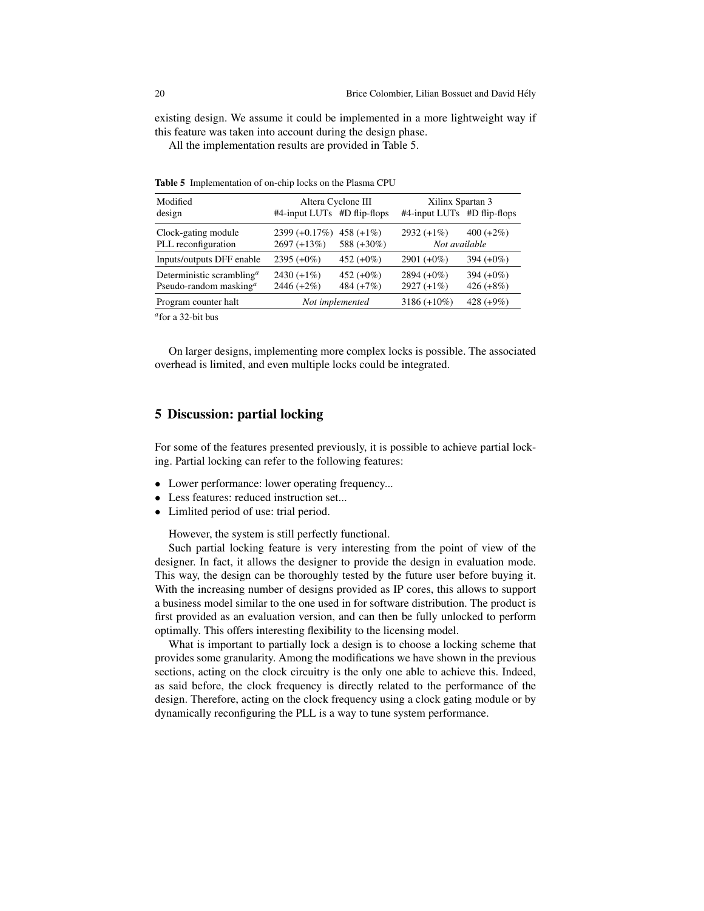existing design. We assume it could be implemented in a more lightweight way if this feature was taken into account during the design phase.

All the implementation results are provided in Table 5.

| Modified<br>design                                                                 | Altera Cyclone III<br>$#4$ -input LUTs $#D$ flip-flops |                             | Xilinx Spartan 3<br>$#4$ -input LUTs $#D$ flip-flops |                             |
|------------------------------------------------------------------------------------|--------------------------------------------------------|-----------------------------|------------------------------------------------------|-----------------------------|
| Clock-gating module<br>PLL reconfiguration                                         | 2399 (+0.17%)<br>$2697 (+13%)$                         | 458 $(+1\%)$<br>588 (+30%)  | $2932 (+1\%)$<br>Not available                       | $400 (+2\%)$                |
| Inputs/outputs DFF enable                                                          | $2395 (+0\%)$                                          | 452 $(+0\%)$                | $2901 (+0\%)$                                        | 394 $(+0\%)$                |
| Deterministic scrambling <sup><i>a</i></sup><br>Pseudo-random masking <sup>a</sup> | $2430 (+1\%)$<br>$2446 (+2%)$                          | 452 $(+0\%)$<br>484 $(+7%)$ | $2894 (+0\%)$<br>$2927 (+1\%)$                       | 394 $(+0\%)$<br>$426 (+8%)$ |
| Program counter halt                                                               |                                                        | Not implemented             | $3186 (+10\%)$                                       | 428 $(+9%)$                 |

Table 5 Implementation of on-chip locks on the Plasma CPU

*a* for a 32-bit bus

On larger designs, implementing more complex locks is possible. The associated overhead is limited, and even multiple locks could be integrated.

## 5 Discussion: partial locking

For some of the features presented previously, it is possible to achieve partial locking. Partial locking can refer to the following features:

- Lower performance: lower operating frequency...
- Less features: reduced instruction set...
- Limlited period of use: trial period.

However, the system is still perfectly functional.

Such partial locking feature is very interesting from the point of view of the designer. In fact, it allows the designer to provide the design in evaluation mode. This way, the design can be thoroughly tested by the future user before buying it. With the increasing number of designs provided as IP cores, this allows to support a business model similar to the one used in for software distribution. The product is first provided as an evaluation version, and can then be fully unlocked to perform optimally. This offers interesting flexibility to the licensing model.

What is important to partially lock a design is to choose a locking scheme that provides some granularity. Among the modifications we have shown in the previous sections, acting on the clock circuitry is the only one able to achieve this. Indeed, as said before, the clock frequency is directly related to the performance of the design. Therefore, acting on the clock frequency using a clock gating module or by dynamically reconfiguring the PLL is a way to tune system performance.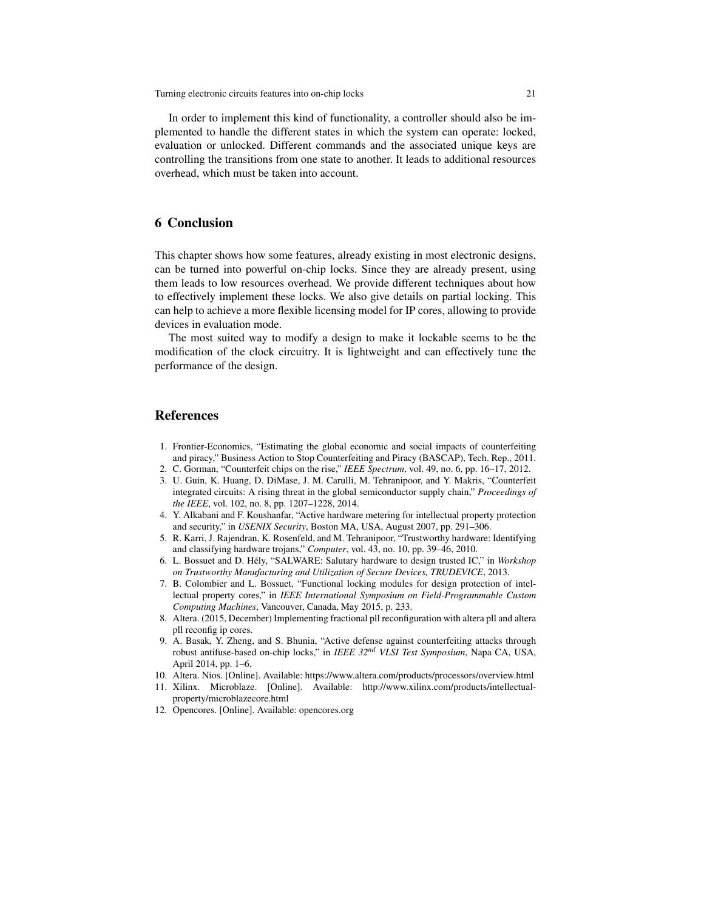In order to implement this kind of functionality, a controller should also be implemented to handle the different states in which the system can operate: locked, evaluation or unlocked. Different commands and the associated unique keys are controlling the transitions from one state to another. It leads to additional resources overhead, which must be taken into account.

## 6 Conclusion

This chapter shows how some features, already existing in most electronic designs, can be turned into powerful on-chip locks. Since they are already present, using them leads to low resources overhead. We provide different techniques about how to effectively implement these locks. We also give details on partial locking. This can help to achieve a more flexible licensing model for IP cores, allowing to provide devices in evaluation mode.

The most suited way to modify a design to make it lockable seems to be the modification of the clock circuitry. It is lightweight and can effectively tune the performance of the design.

#### References

- 1. Frontier-Economics, "Estimating the global economic and social impacts of counterfeiting and piracy," Business Action to Stop Counterfeiting and Piracy (BASCAP), Tech. Rep., 2011.
- 2. C. Gorman, "Counterfeit chips on the rise," *IEEE Spectrum*, vol. 49, no. 6, pp. 16–17, 2012.
- 3. U. Guin, K. Huang, D. DiMase, J. M. Carulli, M. Tehranipoor, and Y. Makris, "Counterfeit integrated circuits: A rising threat in the global semiconductor supply chain," *Proceedings of the IEEE*, vol. 102, no. 8, pp. 1207–1228, 2014.
- 4. Y. Alkabani and F. Koushanfar, "Active hardware metering for intellectual property protection and security," in *USENIX Security*, Boston MA, USA, August 2007, pp. 291–306.
- 5. R. Karri, J. Rajendran, K. Rosenfeld, and M. Tehranipoor, "Trustworthy hardware: Identifying and classifying hardware trojans," *Computer*, vol. 43, no. 10, pp. 39–46, 2010.
- 6. L. Bossuet and D. Hély, "SALWARE: Salutary hardware to design trusted IC," in *Workshop on Trustworthy Manufacturing and Utilization of Secure Devices, TRUDEVICE*, 2013.
- 7. B. Colombier and L. Bossuet, "Functional locking modules for design protection of intellectual property cores," in *IEEE International Symposium on Field-Programmable Custom Computing Machines*, Vancouver, Canada, May 2015, p. 233.
- 8. Altera. (2015, December) Implementing fractional pll reconfiguration with altera pll and altera pll reconfig ip cores.
- 9. A. Basak, Y. Zheng, and S. Bhunia, "Active defense against counterfeiting attacks through robust antifuse-based on-chip locks," in *IEEE 32nd VLSI Test Symposium*, Napa CA, USA, April 2014, pp. 1–6.
- 10. Altera. Nios. [Online]. Available: https://www.altera.com/products/processors/overview.html
- 11. Xilinx. Microblaze. [Online]. Available: http://www.xilinx.com/products/intellectualproperty/microblazecore.html
- 12. Opencores. [Online]. Available: opencores.org